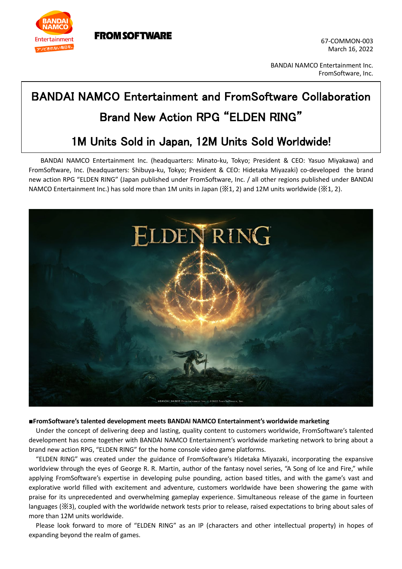

**FROM SOFTWARE** 

67-COMMON-003 March 16, 2022

BANDAI NAMCO Entertainment Inc. FromSoftware, Inc.

## BANDAI NAMCO Entertainment and FromSoftware Collaboration Brand New Action RPG "ELDEN RING"

## 1M Units Sold in Japan, 12M Units Sold Worldwide!

BANDAI NAMCO Entertainment Inc. (headquarters: Minato-ku, Tokyo; President & CEO: Yasuo Miyakawa) and FromSoftware, Inc. (headquarters: Shibuya-ku, Tokyo; President & CEO: Hidetaka Miyazaki) co-developed the brand new action RPG "ELDEN RING" (Japan published under FromSoftware, Inc. / all other regions published under BANDAI NAMCO Entertainment Inc.) has sold more than 1M units in Japan (※1, 2) and 12M units worldwide (※1, 2).



## **■FromSoftware's talented development meets BANDAI NAMCO Entertainment's worldwide marketing**

Under the concept of delivering deep and lasting, quality content to customers worldwide, FromSoftware's talented development has come together with BANDAI NAMCO Entertainment's worldwide marketing network to bring about a brand new action RPG, "ELDEN RING" for the home console video game platforms.

"ELDEN RING" was created under the guidance of FromSoftware's Hidetaka Miyazaki, incorporating the expansive worldview through the eyes of George R. R. Martin, author of the fantasy novel series, "A Song of Ice and Fire," while applying FromSoftware's expertise in developing pulse pounding, action based titles, and with the game's vast and explorative world filled with excitement and adventure, customers worldwide have been showering the game with praise for its unprecedented and overwhelming gameplay experience. Simultaneous release of the game in fourteen languages (※3), coupled with the worldwide network tests prior to release, raised expectations to bring about sales of more than 12M units worldwide.

Please look forward to more of "ELDEN RING" as an IP (characters and other intellectual property) in hopes of expanding beyond the realm of games.